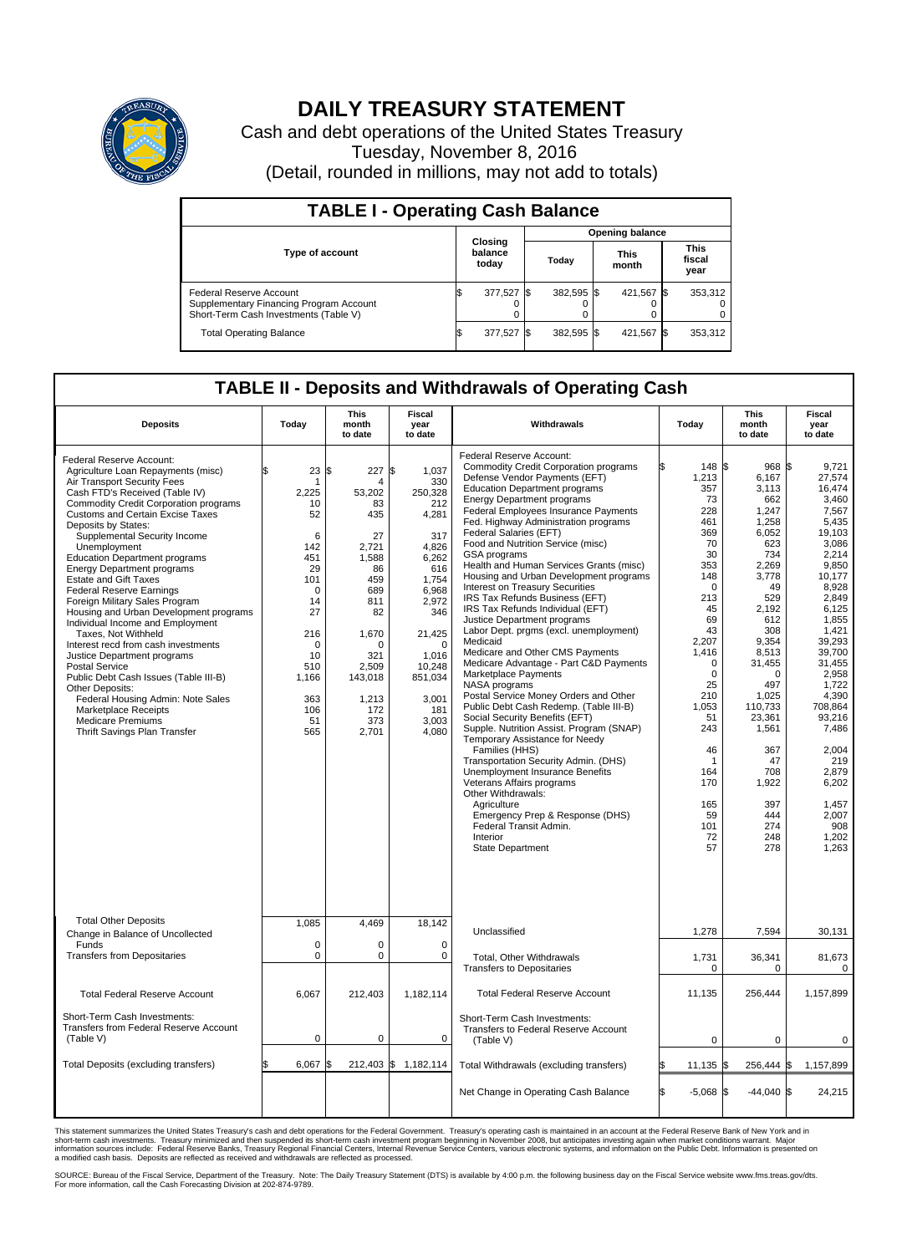

## **DAILY TREASURY STATEMENT**

Cash and debt operations of the United States Treasury Tuesday, November 8, 2016 (Detail, rounded in millions, may not add to totals)

| <b>TABLE I - Operating Cash Balance</b>                                                                     |                             |            |                        |            |                      |            |                               |         |  |  |
|-------------------------------------------------------------------------------------------------------------|-----------------------------|------------|------------------------|------------|----------------------|------------|-------------------------------|---------|--|--|
|                                                                                                             | Closing<br>balance<br>today |            | <b>Opening balance</b> |            |                      |            |                               |         |  |  |
| <b>Type of account</b>                                                                                      |                             |            | Today                  |            | <b>This</b><br>month |            | <b>This</b><br>fiscal<br>year |         |  |  |
| Federal Reserve Account<br>Supplementary Financing Program Account<br>Short-Term Cash Investments (Table V) |                             | 377,527 \$ |                        | 382.595 \$ |                      | 421.567 \$ |                               | 353,312 |  |  |
| <b>Total Operating Balance</b>                                                                              |                             | 377,527 \$ |                        | 382.595 \$ |                      | 421,567 \$ |                               | 353,312 |  |  |

## **TABLE II - Deposits and Withdrawals of Operating Cash**

| <b>Deposits</b>                                                                                                                                                                                                                                                                                                                                                                                                                                                                                                                                                                                                                                                                                                                                                                                                                                                | Today                                                                                                                                                             | <b>This</b><br>month<br>to date                                                                                                                                                | <b>Fiscal</b><br>year<br>to date                                                                                                                                                                      | Withdrawals                                                                                                                                                                                                                                                                                                                                                                                                                                                                                                                                                                                                                                                                                                                                                                                                                                                                                                                                                                                                                                                                                                                                                                                                                          | Today                                                                                                                                                                                                                                                        | <b>This</b><br>month<br>to date                                                                                                                                                                                                                                                        | Fiscal<br>year<br>to date                                                                                                                                                                                                                                                                                            |
|----------------------------------------------------------------------------------------------------------------------------------------------------------------------------------------------------------------------------------------------------------------------------------------------------------------------------------------------------------------------------------------------------------------------------------------------------------------------------------------------------------------------------------------------------------------------------------------------------------------------------------------------------------------------------------------------------------------------------------------------------------------------------------------------------------------------------------------------------------------|-------------------------------------------------------------------------------------------------------------------------------------------------------------------|--------------------------------------------------------------------------------------------------------------------------------------------------------------------------------|-------------------------------------------------------------------------------------------------------------------------------------------------------------------------------------------------------|--------------------------------------------------------------------------------------------------------------------------------------------------------------------------------------------------------------------------------------------------------------------------------------------------------------------------------------------------------------------------------------------------------------------------------------------------------------------------------------------------------------------------------------------------------------------------------------------------------------------------------------------------------------------------------------------------------------------------------------------------------------------------------------------------------------------------------------------------------------------------------------------------------------------------------------------------------------------------------------------------------------------------------------------------------------------------------------------------------------------------------------------------------------------------------------------------------------------------------------|--------------------------------------------------------------------------------------------------------------------------------------------------------------------------------------------------------------------------------------------------------------|----------------------------------------------------------------------------------------------------------------------------------------------------------------------------------------------------------------------------------------------------------------------------------------|----------------------------------------------------------------------------------------------------------------------------------------------------------------------------------------------------------------------------------------------------------------------------------------------------------------------|
| Federal Reserve Account:<br>Agriculture Loan Repayments (misc)<br>Air Transport Security Fees<br>Cash FTD's Received (Table IV)<br><b>Commodity Credit Corporation programs</b><br>Customs and Certain Excise Taxes<br>Deposits by States:<br>Supplemental Security Income<br>Unemployment<br><b>Education Department programs</b><br><b>Energy Department programs</b><br>Estate and Gift Taxes<br><b>Federal Reserve Earnings</b><br>Foreign Military Sales Program<br>Housing and Urban Development programs<br>Individual Income and Employment<br>Taxes, Not Withheld<br>Interest recd from cash investments<br>Justice Department programs<br><b>Postal Service</b><br>Public Debt Cash Issues (Table III-B)<br>Other Deposits:<br>Federal Housing Admin: Note Sales<br>Marketplace Receipts<br><b>Medicare Premiums</b><br>Thrift Savings Plan Transfer | 23<br>\$<br>1<br>2,225<br>10<br>52<br>6<br>142<br>451<br>29<br>101<br>$\mathbf 0$<br>14<br>27<br>216<br>$\Omega$<br>10<br>510<br>1,166<br>363<br>106<br>51<br>565 | 227<br>\$<br>4<br>53,202<br>83<br>435<br>27<br>2,721<br>1,588<br>86<br>459<br>689<br>811<br>82<br>1,670<br>$\Omega$<br>321<br>2,509<br>143,018<br>1,213<br>172<br>373<br>2,701 | \$<br>1,037<br>330<br>250,328<br>212<br>4,281<br>317<br>4,826<br>6,262<br>616<br>1.754<br>6,968<br>2,972<br>346<br>21,425<br>$\Omega$<br>1,016<br>10,248<br>851,034<br>3,001<br>181<br>3.003<br>4,080 | Federal Reserve Account:<br><b>Commodity Credit Corporation programs</b><br>Defense Vendor Payments (EFT)<br><b>Education Department programs</b><br><b>Energy Department programs</b><br><b>Federal Employees Insurance Payments</b><br>Fed. Highway Administration programs<br>Federal Salaries (EFT)<br>Food and Nutrition Service (misc)<br>GSA programs<br>Health and Human Services Grants (misc)<br>Housing and Urban Development programs<br>Interest on Treasury Securities<br>IRS Tax Refunds Business (EFT)<br>IRS Tax Refunds Individual (EFT)<br>Justice Department programs<br>Labor Dept. prgms (excl. unemployment)<br>Medicaid<br>Medicare and Other CMS Payments<br>Medicare Advantage - Part C&D Payments<br>Marketplace Payments<br>NASA programs<br>Postal Service Money Orders and Other<br>Public Debt Cash Redemp. (Table III-B)<br>Social Security Benefits (EFT)<br>Supple. Nutrition Assist. Program (SNAP)<br>Temporary Assistance for Needy<br>Families (HHS)<br>Transportation Security Admin. (DHS)<br>Unemployment Insurance Benefits<br>Veterans Affairs programs<br>Other Withdrawals:<br>Agriculture<br>Emergency Prep & Response (DHS)<br>Federal Transit Admin.<br>Interior<br>State Department | 148 \$<br>1,213<br>357<br>73<br>228<br>461<br>369<br>70<br>30<br>353<br>148<br>$\Omega$<br>213<br>45<br>69<br>43<br>2,207<br>1,416<br>$\mathbf 0$<br>$\mathbf 0$<br>25<br>210<br>1,053<br>51<br>243<br>46<br>1<br>164<br>170<br>165<br>59<br>101<br>72<br>57 | $968$ \$<br>6,167<br>3,113<br>662<br>1.247<br>1,258<br>6,052<br>623<br>734<br>2,269<br>3,778<br>49<br>529<br>2.192<br>612<br>308<br>9,354<br>8,513<br>31,455<br>$\Omega$<br>497<br>1,025<br>110,733<br>23,361<br>1,561<br>367<br>47<br>708<br>1,922<br>397<br>444<br>274<br>248<br>278 | 9.721<br>27,574<br>16.474<br>3,460<br>7.567<br>5,435<br>19,103<br>3,086<br>2.214<br>9,850<br>10,177<br>8,928<br>2,849<br>6,125<br>1,855<br>1.421<br>39,293<br>39,700<br>31.455<br>2,958<br>1.722<br>4,390<br>708,864<br>93,216<br>7,486<br>2,004<br>219<br>2,879<br>6,202<br>1.457<br>2,007<br>908<br>1,202<br>1,263 |
| <b>Total Other Deposits</b><br>Change in Balance of Uncollected                                                                                                                                                                                                                                                                                                                                                                                                                                                                                                                                                                                                                                                                                                                                                                                                | 1,085                                                                                                                                                             | 4,469                                                                                                                                                                          | 18,142                                                                                                                                                                                                | Unclassified                                                                                                                                                                                                                                                                                                                                                                                                                                                                                                                                                                                                                                                                                                                                                                                                                                                                                                                                                                                                                                                                                                                                                                                                                         | 1,278                                                                                                                                                                                                                                                        | 7,594                                                                                                                                                                                                                                                                                  | 30,131                                                                                                                                                                                                                                                                                                               |
| Funds<br><b>Transfers from Depositaries</b>                                                                                                                                                                                                                                                                                                                                                                                                                                                                                                                                                                                                                                                                                                                                                                                                                    | $\mathbf 0$<br>$\pmb{0}$                                                                                                                                          | 0<br>0                                                                                                                                                                         | $\mathbf 0$<br>$\mathbf 0$                                                                                                                                                                            | Total, Other Withdrawals<br><b>Transfers to Depositaries</b>                                                                                                                                                                                                                                                                                                                                                                                                                                                                                                                                                                                                                                                                                                                                                                                                                                                                                                                                                                                                                                                                                                                                                                         | 1,731<br>0                                                                                                                                                                                                                                                   | 36,341<br>$\Omega$                                                                                                                                                                                                                                                                     | 81,673<br>0                                                                                                                                                                                                                                                                                                          |
| <b>Total Federal Reserve Account</b>                                                                                                                                                                                                                                                                                                                                                                                                                                                                                                                                                                                                                                                                                                                                                                                                                           | 6,067                                                                                                                                                             | 212,403                                                                                                                                                                        | 1,182,114                                                                                                                                                                                             | <b>Total Federal Reserve Account</b>                                                                                                                                                                                                                                                                                                                                                                                                                                                                                                                                                                                                                                                                                                                                                                                                                                                                                                                                                                                                                                                                                                                                                                                                 | 11,135                                                                                                                                                                                                                                                       | 256.444                                                                                                                                                                                                                                                                                | 1,157,899                                                                                                                                                                                                                                                                                                            |
| Short-Term Cash Investments:<br><b>Transfers from Federal Reserve Account</b><br>(Table V)                                                                                                                                                                                                                                                                                                                                                                                                                                                                                                                                                                                                                                                                                                                                                                     | $\pmb{0}$                                                                                                                                                         | 0                                                                                                                                                                              | 0                                                                                                                                                                                                     | Short-Term Cash Investments:<br>Transfers to Federal Reserve Account<br>(Table V)                                                                                                                                                                                                                                                                                                                                                                                                                                                                                                                                                                                                                                                                                                                                                                                                                                                                                                                                                                                                                                                                                                                                                    | 0                                                                                                                                                                                                                                                            | $\mathbf 0$                                                                                                                                                                                                                                                                            | $\mathbf 0$                                                                                                                                                                                                                                                                                                          |
| Total Deposits (excluding transfers)                                                                                                                                                                                                                                                                                                                                                                                                                                                                                                                                                                                                                                                                                                                                                                                                                           | 6,067                                                                                                                                                             |                                                                                                                                                                                | 212,403 \$ 1,182,114                                                                                                                                                                                  | Total Withdrawals (excluding transfers)                                                                                                                                                                                                                                                                                                                                                                                                                                                                                                                                                                                                                                                                                                                                                                                                                                                                                                                                                                                                                                                                                                                                                                                              | $11,135$ \$                                                                                                                                                                                                                                                  | 256,444 \$                                                                                                                                                                                                                                                                             | 1,157,899                                                                                                                                                                                                                                                                                                            |
|                                                                                                                                                                                                                                                                                                                                                                                                                                                                                                                                                                                                                                                                                                                                                                                                                                                                |                                                                                                                                                                   |                                                                                                                                                                                |                                                                                                                                                                                                       | Net Change in Operating Cash Balance                                                                                                                                                                                                                                                                                                                                                                                                                                                                                                                                                                                                                                                                                                                                                                                                                                                                                                                                                                                                                                                                                                                                                                                                 | l\$<br>$-5,068$ \$                                                                                                                                                                                                                                           | $-44,040$ \$                                                                                                                                                                                                                                                                           | 24,215                                                                                                                                                                                                                                                                                                               |

This statement summarizes the United States Treasury's cash and debt operations for the Federal Government. Treasury's operating cash is maintained in an account at the Federal Reserve Bank of New York and in<br>short-term ca

SOURCE: Bureau of the Fiscal Service, Department of the Treasury. Note: The Daily Treasury Statement (DTS) is available by 4:00 p.m. the following business day on the Fiscal Service website www.fms.treas.gov/dts.<br>For more